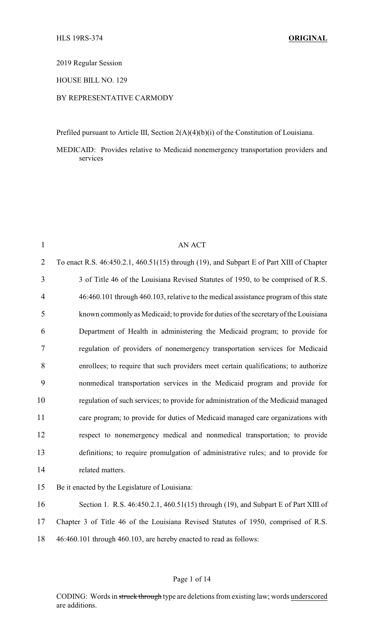2019 Regular Session

HOUSE BILL NO. 129

## BY REPRESENTATIVE CARMODY

Prefiled pursuant to Article III, Section 2(A)(4)(b)(i) of the Constitution of Louisiana.

MEDICAID: Provides relative to Medicaid nonemergency transportation providers and services

| $\mathbf{1}$   | <b>AN ACT</b>                                                                            |
|----------------|------------------------------------------------------------------------------------------|
| $\overline{2}$ | To enact R.S. 46:450.2.1, 460.51(15) through (19), and Subpart E of Part XIII of Chapter |
| 3              | 3 of Title 46 of the Louisiana Revised Statutes of 1950, to be comprised of R.S.         |
| $\overline{4}$ | 46:460.101 through 460.103, relative to the medical assistance program of this state     |
| 5              | known commonly as Medicaid; to provide for duties of the secretary of the Louisiana      |
| 6              | Department of Health in administering the Medicaid program; to provide for               |
| $\tau$         | regulation of providers of nonemergency transportation services for Medicaid             |
| 8              | enrollees; to require that such providers meet certain qualifications; to authorize      |
| 9              | nonmedical transportation services in the Medicaid program and provide for               |
| 10             | regulation of such services; to provide for administration of the Medicaid managed       |
| 11             | care program; to provide for duties of Medicaid managed care organizations with          |
| 12             | respect to nonemergency medical and nonmedical transportation; to provide                |
| 13             | definitions; to require promulgation of administrative rules; and to provide for         |
| 14             | related matters.                                                                         |
| 15             | Be it enacted by the Legislature of Louisiana:                                           |
| 16             | Section 1. R.S. 46:450.2.1, 460.51(15) through (19), and Subpart E of Part XIII of       |
| 17             | Chapter 3 of Title 46 of the Louisiana Revised Statutes of 1950, comprised of R.S.       |
| 18             | 46:460.101 through 460.103, are hereby enacted to read as follows:                       |

#### Page 1 of 14

CODING: Words in struck through type are deletions from existing law; words underscored are additions.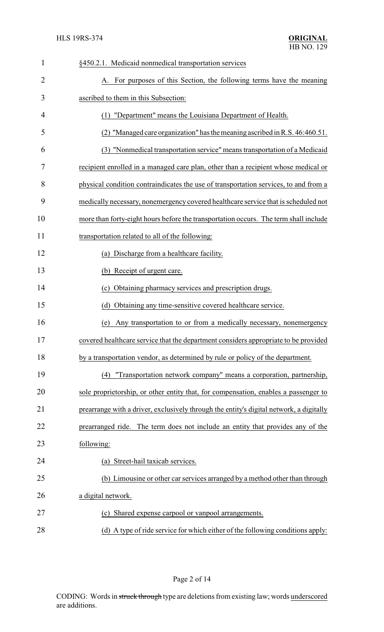| $\mathbf{1}$   | §450.2.1. Medicaid nonmedical transportation services                                   |  |
|----------------|-----------------------------------------------------------------------------------------|--|
| $\overline{2}$ | A. For purposes of this Section, the following terms have the meaning                   |  |
| 3              | ascribed to them in this Subsection:                                                    |  |
| 4              | (1) "Department" means the Louisiana Department of Health.                              |  |
| 5              | (2) "Managed care organization" has the meaning ascribed in R.S. 46:460.51.             |  |
| 6              | (3) "Nonmedical transportation service" means transportation of a Medicaid              |  |
| 7              | recipient enrolled in a managed care plan, other than a recipient whose medical or      |  |
| 8              | physical condition contraindicates the use of transportation services, to and from a    |  |
| 9              | medically necessary, nonemergency covered healthcare service that is scheduled not      |  |
| 10             | more than forty-eight hours before the transportation occurs. The term shall include    |  |
| 11             | transportation related to all of the following:                                         |  |
| 12             | (a) Discharge from a healthcare facility.                                               |  |
| 13             | (b) Receipt of urgent care.                                                             |  |
| 14             | Obtaining pharmacy services and prescription drugs.<br>(c)                              |  |
| 15             | Obtaining any time-sensitive covered healthcare service.<br>(d)                         |  |
| 16             | Any transportation to or from a medically necessary, nonemergency<br>(e)                |  |
| 17             | covered healthcare service that the department considers appropriate to be provided     |  |
| 18             | by a transportation vendor, as determined by rule or policy of the department.          |  |
| 19             | "Transportation network company" means a corporation, partnership,<br>(4)               |  |
| 20             | sole proprietorship, or other entity that, for compensation, enables a passenger to     |  |
| 21             | prearrange with a driver, exclusively through the entity's digital network, a digitally |  |
| 22             | prearranged ride. The term does not include an entity that provides any of the          |  |
| 23             | following:                                                                              |  |
| 24             | (a) Street-hail taxicab services.                                                       |  |
| 25             | (b) Limousine or other car services arranged by a method other than through             |  |
| 26             | a digital network.                                                                      |  |
| 27             | (c) Shared expense carpool or vanpool arrangements.                                     |  |
| 28             | (d) A type of ride service for which either of the following conditions apply:          |  |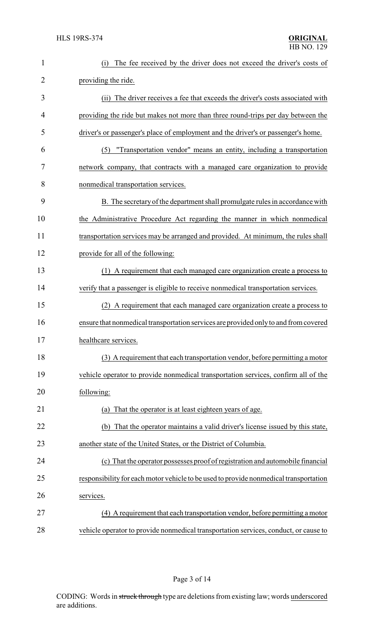| 1              | The fee received by the driver does not exceed the driver's costs of<br>(i)           |  |
|----------------|---------------------------------------------------------------------------------------|--|
| $\overline{2}$ | providing the ride.                                                                   |  |
| 3              | (ii) The driver receives a fee that exceeds the driver's costs associated with        |  |
| 4              | providing the ride but makes not more than three round-trips per day between the      |  |
| 5              | driver's or passenger's place of employment and the driver's or passenger's home.     |  |
| 6              | (5) "Transportation vendor" means an entity, including a transportation               |  |
| 7              | network company, that contracts with a managed care organization to provide           |  |
| 8              | nonmedical transportation services.                                                   |  |
| 9              | B. The secretary of the department shall promulgate rules in accordance with          |  |
| 10             | the Administrative Procedure Act regarding the manner in which nonmedical             |  |
| 11             | transportation services may be arranged and provided. At minimum, the rules shall     |  |
| 12             | provide for all of the following:                                                     |  |
| 13             | (1) A requirement that each managed care organization create a process to             |  |
| 14             | verify that a passenger is eligible to receive nonmedical transportation services.    |  |
| 15             | (2) A requirement that each managed care organization create a process to             |  |
| 16             | ensure that nonmedical transportation services are provided only to and from covered  |  |
| 17             | healthcare services.                                                                  |  |
| 18             | (3) A requirement that each transportation vendor, before permitting a motor          |  |
| 19             | vehicle operator to provide nonmedical transportation services, confirm all of the    |  |
| 20             | following:                                                                            |  |
| 21             | That the operator is at least eighteen years of age.<br>(a)                           |  |
| 22             | (b) That the operator maintains a valid driver's license issued by this state,        |  |
| 23             | another state of the United States, or the District of Columbia.                      |  |
| 24             | (c) That the operator possesses proof of registration and automobile financial        |  |
| 25             | responsibility for each motor vehicle to be used to provide nonmedical transportation |  |
| 26             | services.                                                                             |  |
| 27             | (4) A requirement that each transportation vendor, before permitting a motor          |  |
| 28             | vehicle operator to provide nonmedical transportation services, conduct, or cause to  |  |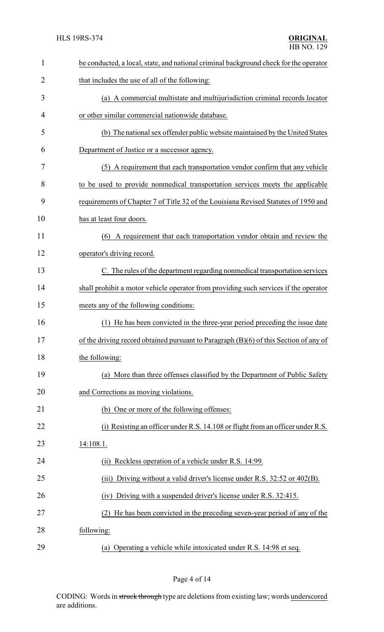| $\mathbf{1}$ | be conducted, a local, state, and national criminal background check for the operator   |
|--------------|-----------------------------------------------------------------------------------------|
| 2            | that includes the use of all of the following:                                          |
| 3            | (a) A commercial multistate and multijurisdiction criminal records locator              |
| 4            | or other similar commercial nationwide database.                                        |
| 5            | (b) The national sex offender public website maintained by the United States            |
| 6            | Department of Justice or a successor agency.                                            |
| 7            | (5) A requirement that each transportation vendor confirm that any vehicle              |
| 8            | to be used to provide nonmedical transportation services meets the applicable           |
| 9            | requirements of Chapter 7 of Title 32 of the Louisiana Revised Statutes of 1950 and     |
| 10           | has at least four doors.                                                                |
| 11           | A requirement that each transportation vendor obtain and review the<br>(6)              |
| 12           | operator's driving record.                                                              |
| 13           | C. The rules of the department regarding nonmedical transportation services             |
| 14           | shall prohibit a motor vehicle operator from providing such services if the operator    |
| 15           | meets any of the following conditions:                                                  |
| 16           | He has been convicted in the three-year period preceding the issue date                 |
| 17           | of the driving record obtained pursuant to Paragraph $(B)(6)$ of this Section of any of |
| 18           | the following:                                                                          |
| 19           | (a) More than three offenses classified by the Department of Public Safety              |
| 20           | and Corrections as moving violations.                                                   |
| 21           | (b) One or more of the following offenses:                                              |
| 22           | (i) Resisting an officer under R.S. 14.108 or flight from an officer under R.S.         |
| 23           | 14:108.1.                                                                               |
| 24           | Reckless operation of a vehicle under R.S. 14:99.<br>(ii)                               |
| 25           | Driving without a valid driver's license under R.S. 32:52 or 402(B).<br>(iii)           |
| 26           | Driving with a suspended driver's license under R.S. 32:415.<br>(iv)                    |
| 27           | He has been convicted in the preceding seven-year period of any of the<br>(2)           |
| 28           | following:                                                                              |
| 29           | (a) Operating a vehicle while intoxicated under R.S. 14:98 et seq.                      |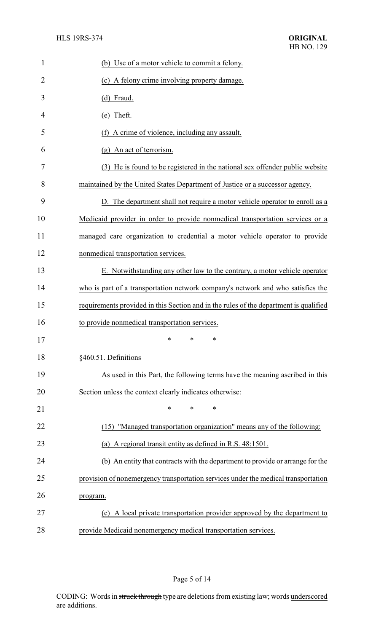| 1              | (b) Use of a motor vehicle to commit a felony.                                        |
|----------------|---------------------------------------------------------------------------------------|
| $\overline{2}$ | (c) A felony crime involving property damage.                                         |
| 3              | (d) Fraud.                                                                            |
| 4              | (e) Theft.                                                                            |
| 5              | A crime of violence, including any assault.                                           |
| 6              | (g) An act of terrorism.                                                              |
| 7              | (3) He is found to be registered in the national sex offender public website          |
| 8              | maintained by the United States Department of Justice or a successor agency.          |
| 9              | D. The department shall not require a motor vehicle operator to enroll as a           |
| 10             | Medicaid provider in order to provide nonmedical transportation services or a         |
| 11             | managed care organization to credential a motor vehicle operator to provide           |
| 12             | nonmedical transportation services.                                                   |
| 13             | E. Notwithstanding any other law to the contrary, a motor vehicle operator            |
| 14             | who is part of a transportation network company's network and who satisfies the       |
| 15             | requirements provided in this Section and in the rules of the department is qualified |
| 16             | to provide nonmedical transportation services.                                        |
| 17             |                                                                                       |
| 18             | §460.51. Definitions                                                                  |
| 19             | As used in this Part, the following terms have the meaning ascribed in this           |
| 20             | Section unless the context clearly indicates otherwise:                               |
| 21             | *<br>∗<br>*                                                                           |
| 22             | (15) "Managed transportation organization" means any of the following:                |
| 23             | (a) A regional transit entity as defined in R.S. 48:1501.                             |
| 24             | (b) An entity that contracts with the department to provide or arrange for the        |
| 25             | provision of nonemergency transportation services under the medical transportation    |
| 26             | program.                                                                              |
| 27             | (c) A local private transportation provider approved by the department to             |
| 28             | provide Medicaid nonemergency medical transportation services.                        |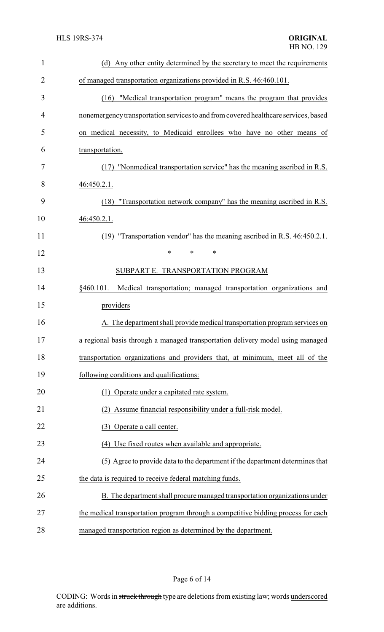| $\mathbf{1}$   | (d) Any other entity determined by the secretary to meet the requirements           |
|----------------|-------------------------------------------------------------------------------------|
| $\overline{2}$ | of managed transportation organizations provided in R.S. 46:460.101.                |
| 3              | "Medical transportation program" means the program that provides<br>(16)            |
| 4              | nonemergency transportation services to and from covered healthcare services, based |
| 5              | on medical necessity, to Medicaid enrollees who have no other means of              |
| 6              | transportation.                                                                     |
| 7              | (17) "Nonmedical transportation service" has the meaning ascribed in R.S.           |
| 8              | 46:450.2.1.                                                                         |
| 9              | "Transportation network company" has the meaning ascribed in R.S.<br>(18)           |
| 10             | 46:450.2.1.                                                                         |
| 11             | (19) "Transportation vendor" has the meaning ascribed in R.S. 46:450.2.1.           |
| 12             | $\ast$<br>$\ast$<br>$\ast$                                                          |
| 13             | SUBPART E. TRANSPORTATION PROGRAM                                                   |
| 14             | §460.101.<br>Medical transportation; managed transportation organizations and       |
| 15             | providers                                                                           |
| 16             | A. The department shall provide medical transportation program services on          |
| 17             | a regional basis through a managed transportation delivery model using managed      |
| 18             | transportation organizations and providers that, at minimum, meet all of the        |
| 19             | following conditions and qualifications:                                            |
| 20             | (1) Operate under a capitated rate system.                                          |
| 21             | Assume financial responsibility under a full-risk model.                            |
| 22             | Operate a call center.<br>(3)                                                       |
| 23             | (4) Use fixed routes when available and appropriate.                                |
| 24             | (5) Agree to provide data to the department if the department determines that       |
| 25             | the data is required to receive federal matching funds.                             |
| 26             | B. The department shall procure managed transportation organizations under          |
| 27             | the medical transportation program through a competitive bidding process for each   |
| 28             | managed transportation region as determined by the department.                      |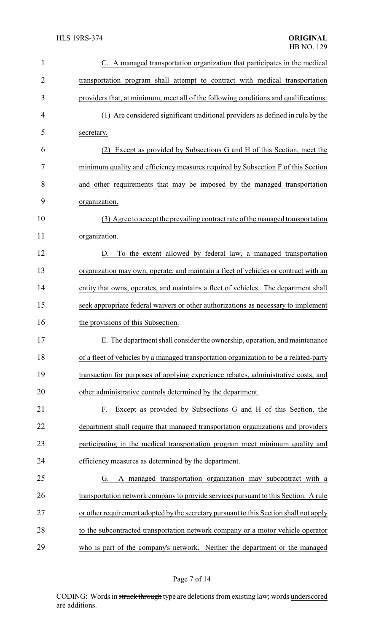| 1              | C. A managed transportation organization that participates in the medical              |
|----------------|----------------------------------------------------------------------------------------|
| $\overline{2}$ | transportation program shall attempt to contract with medical transportation           |
| 3              | providers that, at minimum, meet all of the following conditions and qualifications:   |
| 4              | (1) Are considered significant traditional providers as defined in rule by the         |
| 5              | secretary.                                                                             |
| 6              | Except as provided by Subsections G and H of this Section, meet the<br>(2)             |
| 7              | minimum quality and efficiency measures required by Subsection F of this Section       |
| 8              | and other requirements that may be imposed by the managed transportation               |
| 9              | organization.                                                                          |
| 10             | (3) Agree to accept the prevailing contract rate of the managed transportation         |
| 11             | organization.                                                                          |
| 12             | To the extent allowed by federal law, a managed transportation<br>D.                   |
| 13             | organization may own, operate, and maintain a fleet of vehicles or contract with an    |
| 14             | entity that owns, operates, and maintains a fleet of vehicles. The department shall    |
| 15             | seek appropriate federal waivers or other authorizations as necessary to implement     |
| 16             | the provisions of this Subsection.                                                     |
| 17             | E. The department shall consider the ownership, operation, and maintenance             |
| 18             | of a fleet of vehicles by a managed transportation organization to be a related-party  |
| 19             | transaction for purposes of applying experience rebates, administrative costs, and     |
| 20             | other administrative controls determined by the department.                            |
| 21             | Except as provided by Subsections G and H of this Section, the<br>F.                   |
| 22             | department shall require that managed transportation organizations and providers       |
| 23             | participating in the medical transportation program meet minimum quality and           |
| 24             | efficiency measures as determined by the department.                                   |
| 25             | A managed transportation organization may subcontract with a<br>G.                     |
| 26             | transportation network company to provide services pursuant to this Section. A rule    |
| 27             | or other requirement adopted by the secretary pursuant to this Section shall not apply |
| 28             | to the subcontracted transportation network company or a motor vehicle operator        |
| 29             | who is part of the company's network. Neither the department or the managed            |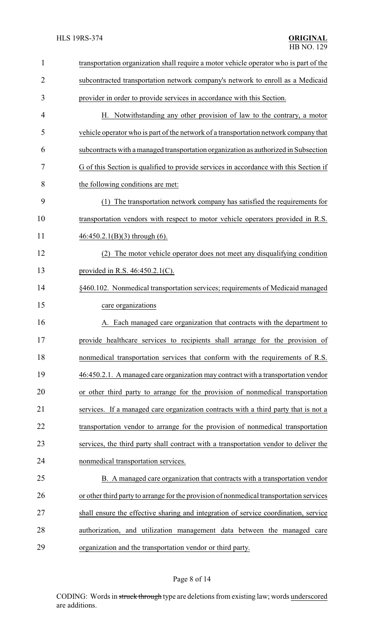| $\mathbf{1}$   | transportation organization shall require a motor vehicle operator who is part of the   |
|----------------|-----------------------------------------------------------------------------------------|
| $\overline{2}$ | subcontracted transportation network company's network to enroll as a Medicaid          |
| 3              | provider in order to provide services in accordance with this Section.                  |
| 4              | H. Notwithstanding any other provision of law to the contrary, a motor                  |
| 5              | vehicle operator who is part of the network of a transportation network company that    |
| 6              | subcontracts with a managed transportation organization as authorized in Subsection     |
| 7              | G of this Section is qualified to provide services in accordance with this Section if   |
| 8              | the following conditions are met:                                                       |
| 9              | (1) The transportation network company has satisfied the requirements for               |
| 10             | transportation vendors with respect to motor vehicle operators provided in R.S.         |
| 11             | $46:450.2.1(B)(3)$ through (6).                                                         |
| 12             | The motor vehicle operator does not meet any disqualifying condition                    |
| 13             | provided in R.S. $46:450.2.1(C)$ .                                                      |
| 14             | §460.102. Nonmedical transportation services; requirements of Medicaid managed          |
| 15             | care organizations                                                                      |
| 16             | A. Each managed care organization that contracts with the department to                 |
| 17             | provide healthcare services to recipients shall arrange for the provision of            |
| 18             | nonmedical transportation services that conform with the requirements of R.S.           |
| 19             | 46:450.2.1. A managed care organization may contract with a transportation vendor       |
| 20             | or other third party to arrange for the provision of nonmedical transportation          |
| 21             | services. If a managed care organization contracts with a third party that is not a     |
| 22             | transportation vendor to arrange for the provision of nonmedical transportation         |
| 23             | services, the third party shall contract with a transportation vendor to deliver the    |
| 24             | nonmedical transportation services.                                                     |
| 25             | B. A managed care organization that contracts with a transportation vendor              |
| 26             | or other third party to arrange for the provision of nonmedical transportation services |
| 27             | shall ensure the effective sharing and integration of service coordination, service     |
| 28             | authorization, and utilization management data between the managed care                 |
| 29             | organization and the transportation vendor or third party.                              |

# Page 8 of 14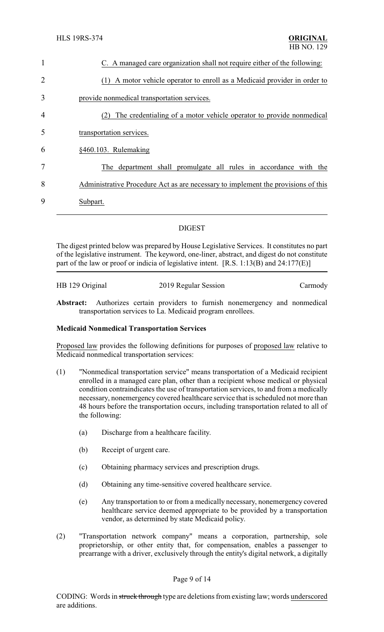| $\mathbf{1}$   | C. A managed care organization shall not require either of the following:         |  |  |
|----------------|-----------------------------------------------------------------------------------|--|--|
| 2              | A motor vehicle operator to enroll as a Medicaid provider in order to<br>(1)      |  |  |
| 3              | provide nonmedical transportation services.                                       |  |  |
| $\overline{4}$ | The credentialing of a motor vehicle operator to provide nonmedical<br>(2)        |  |  |
| 5              | transportation services.                                                          |  |  |
| 6              | §460.103. Rulemaking                                                              |  |  |
| 7              | The department shall promulgate all rules in accordance with the                  |  |  |
| 8              | Administrative Procedure Act as are necessary to implement the provisions of this |  |  |
| 9              | Subpart.                                                                          |  |  |
|                |                                                                                   |  |  |

## DIGEST

The digest printed below was prepared by House Legislative Services. It constitutes no part of the legislative instrument. The keyword, one-liner, abstract, and digest do not constitute part of the law or proof or indicia of legislative intent. [R.S. 1:13(B) and 24:177(E)]

| HB 129 Original | 2019 Regular Session | Carmody |
|-----------------|----------------------|---------|
|                 |                      |         |

**Abstract:** Authorizes certain providers to furnish nonemergency and nonmedical transportation services to La. Medicaid program enrollees.

### **Medicaid Nonmedical Transportation Services**

Proposed law provides the following definitions for purposes of proposed law relative to Medicaid nonmedical transportation services:

- (1) "Nonmedical transportation service" means transportation of a Medicaid recipient enrolled in a managed care plan, other than a recipient whose medical or physical condition contraindicates the use of transportation services, to and from a medically necessary, nonemergency covered healthcare service that is scheduled not more than 48 hours before the transportation occurs, including transportation related to all of the following:
	- (a) Discharge from a healthcare facility.
	- (b) Receipt of urgent care.
	- (c) Obtaining pharmacy services and prescription drugs.
	- (d) Obtaining any time-sensitive covered healthcare service.
	- (e) Any transportation to or from a medically necessary, nonemergency covered healthcare service deemed appropriate to be provided by a transportation vendor, as determined by state Medicaid policy.
- (2) "Transportation network company" means a corporation, partnership, sole proprietorship, or other entity that, for compensation, enables a passenger to prearrange with a driver, exclusively through the entity's digital network, a digitally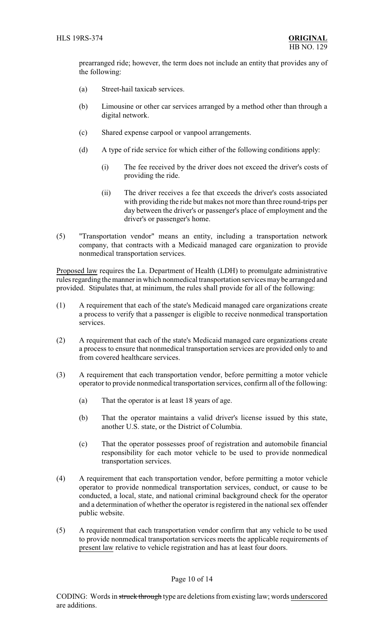prearranged ride; however, the term does not include an entity that provides any of the following:

- (a) Street-hail taxicab services.
- (b) Limousine or other car services arranged by a method other than through a digital network.
- (c) Shared expense carpool or vanpool arrangements.
- (d) A type of ride service for which either of the following conditions apply:
	- (i) The fee received by the driver does not exceed the driver's costs of providing the ride.
	- (ii) The driver receives a fee that exceeds the driver's costs associated with providing the ride but makes not more than three round-trips per day between the driver's or passenger's place of employment and the driver's or passenger's home.
- (5) "Transportation vendor" means an entity, including a transportation network company, that contracts with a Medicaid managed care organization to provide nonmedical transportation services.

Proposed law requires the La. Department of Health (LDH) to promulgate administrative rules regarding the manner in which nonmedical transportation services may be arranged and provided. Stipulates that, at minimum, the rules shall provide for all of the following:

- (1) A requirement that each of the state's Medicaid managed care organizations create a process to verify that a passenger is eligible to receive nonmedical transportation services.
- (2) A requirement that each of the state's Medicaid managed care organizations create a process to ensure that nonmedical transportation services are provided only to and from covered healthcare services.
- (3) A requirement that each transportation vendor, before permitting a motor vehicle operator to provide nonmedical transportation services, confirm all of the following:
	- (a) That the operator is at least 18 years of age.
	- (b) That the operator maintains a valid driver's license issued by this state, another U.S. state, or the District of Columbia.
	- (c) That the operator possesses proof of registration and automobile financial responsibility for each motor vehicle to be used to provide nonmedical transportation services.
- (4) A requirement that each transportation vendor, before permitting a motor vehicle operator to provide nonmedical transportation services, conduct, or cause to be conducted, a local, state, and national criminal background check for the operator and a determination of whether the operator is registered in the national sex offender public website.
- (5) A requirement that each transportation vendor confirm that any vehicle to be used to provide nonmedical transportation services meets the applicable requirements of present law relative to vehicle registration and has at least four doors.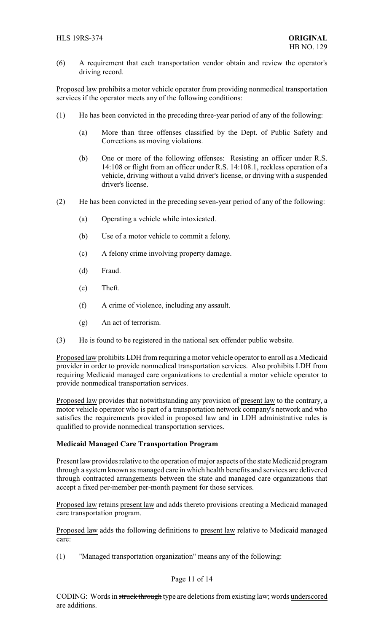(6) A requirement that each transportation vendor obtain and review the operator's driving record.

Proposed law prohibits a motor vehicle operator from providing nonmedical transportation services if the operator meets any of the following conditions:

- (1) He has been convicted in the preceding three-year period of any of the following:
	- (a) More than three offenses classified by the Dept. of Public Safety and Corrections as moving violations.
	- (b) One or more of the following offenses: Resisting an officer under R.S. 14:108 or flight from an officer under R.S. 14:108.1, reckless operation of a vehicle, driving without a valid driver's license, or driving with a suspended driver's license.
- (2) He has been convicted in the preceding seven-year period of any of the following:
	- (a) Operating a vehicle while intoxicated.
	- (b) Use of a motor vehicle to commit a felony.
	- (c) A felony crime involving property damage.
	- (d) Fraud.
	- (e) Theft.
	- (f) A crime of violence, including any assault.
	- (g) An act of terrorism.
- (3) He is found to be registered in the national sex offender public website.

Proposed law prohibits LDH from requiring a motor vehicle operator to enroll as a Medicaid provider in order to provide nonmedical transportation services. Also prohibits LDH from requiring Medicaid managed care organizations to credential a motor vehicle operator to provide nonmedical transportation services.

Proposed law provides that notwithstanding any provision of present law to the contrary, a motor vehicle operator who is part of a transportation network company's network and who satisfies the requirements provided in proposed law and in LDH administrative rules is qualified to provide nonmedical transportation services.

### **Medicaid Managed Care Transportation Program**

Present law provides relative to the operation of major aspects of the state Medicaid program through a system known as managed care in which health benefits and services are delivered through contracted arrangements between the state and managed care organizations that accept a fixed per-member per-month payment for those services.

Proposed law retains present law and adds thereto provisions creating a Medicaid managed care transportation program.

Proposed law adds the following definitions to present law relative to Medicaid managed care:

(1) "Managed transportation organization" means any of the following:

### Page 11 of 14

CODING: Words in struck through type are deletions from existing law; words underscored are additions.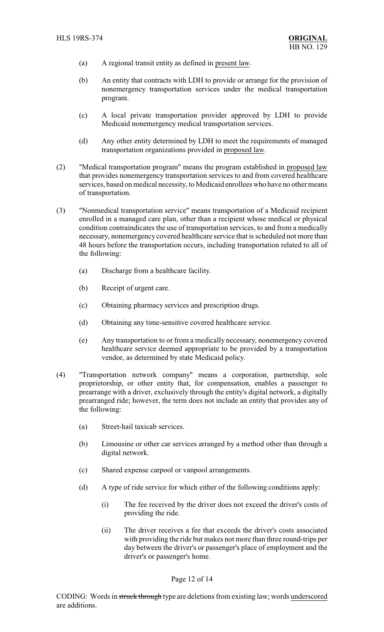- (a) A regional transit entity as defined in present law.
- (b) An entity that contracts with LDH to provide or arrange for the provision of nonemergency transportation services under the medical transportation program.
- (c) A local private transportation provider approved by LDH to provide Medicaid nonemergency medical transportation services.
- (d) Any other entity determined by LDH to meet the requirements of managed transportation organizations provided in proposed law.
- (2) "Medical transportation program" means the program established in proposed law that provides nonemergency transportation services to and from covered healthcare services, based on medical necessity, to Medicaid enrollees who have no other means of transportation.
- (3) "Nonmedical transportation service" means transportation of a Medicaid recipient enrolled in a managed care plan, other than a recipient whose medical or physical condition contraindicates the use of transportation services, to and from a medically necessary, nonemergency covered healthcare service that is scheduled not more than 48 hours before the transportation occurs, including transportation related to all of the following:
	- (a) Discharge from a healthcare facility.
	- (b) Receipt of urgent care.
	- (c) Obtaining pharmacy services and prescription drugs.
	- (d) Obtaining any time-sensitive covered healthcare service.
	- (e) Any transportation to or from a medically necessary, nonemergency covered healthcare service deemed appropriate to be provided by a transportation vendor, as determined by state Medicaid policy.
- (4) "Transportation network company" means a corporation, partnership, sole proprietorship, or other entity that, for compensation, enables a passenger to prearrange with a driver, exclusively through the entity's digital network, a digitally prearranged ride; however, the term does not include an entity that provides any of the following:
	- (a) Street-hail taxicab services.
	- (b) Limousine or other car services arranged by a method other than through a digital network.
	- (c) Shared expense carpool or vanpool arrangements.
	- (d) A type of ride service for which either of the following conditions apply:
		- (i) The fee received by the driver does not exceed the driver's costs of providing the ride.
		- (ii) The driver receives a fee that exceeds the driver's costs associated with providing the ride but makes not more than three round-trips per day between the driver's or passenger's place of employment and the driver's or passenger's home.

#### Page 12 of 14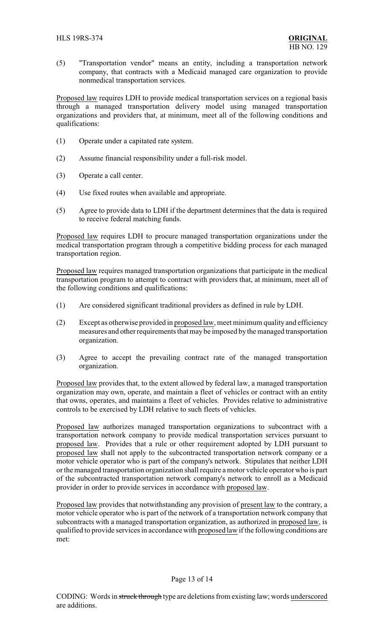(5) "Transportation vendor" means an entity, including a transportation network company, that contracts with a Medicaid managed care organization to provide nonmedical transportation services.

Proposed law requires LDH to provide medical transportation services on a regional basis through a managed transportation delivery model using managed transportation organizations and providers that, at minimum, meet all of the following conditions and qualifications:

- (1) Operate under a capitated rate system.
- (2) Assume financial responsibility under a full-risk model.
- (3) Operate a call center.
- (4) Use fixed routes when available and appropriate.
- (5) Agree to provide data to LDH if the department determines that the data is required to receive federal matching funds.

Proposed law requires LDH to procure managed transportation organizations under the medical transportation program through a competitive bidding process for each managed transportation region.

Proposed law requires managed transportation organizations that participate in the medical transportation program to attempt to contract with providers that, at minimum, meet all of the following conditions and qualifications:

- (1) Are considered significant traditional providers as defined in rule by LDH.
- (2) Except as otherwise provided in proposed law, meet minimum quality and efficiency measures and other requirements that may be imposed by the managed transportation organization.
- (3) Agree to accept the prevailing contract rate of the managed transportation organization.

Proposed law provides that, to the extent allowed by federal law, a managed transportation organization may own, operate, and maintain a fleet of vehicles or contract with an entity that owns, operates, and maintains a fleet of vehicles. Provides relative to administrative controls to be exercised by LDH relative to such fleets of vehicles.

Proposed law authorizes managed transportation organizations to subcontract with a transportation network company to provide medical transportation services pursuant to proposed law. Provides that a rule or other requirement adopted by LDH pursuant to proposed law shall not apply to the subcontracted transportation network company or a motor vehicle operator who is part of the company's network. Stipulates that neither LDH or the managed transportation organization shall require a motor vehicle operator who is part of the subcontracted transportation network company's network to enroll as a Medicaid provider in order to provide services in accordance with proposed law.

Proposed law provides that notwithstanding any provision of present law to the contrary, a motor vehicle operator who is part of the network of a transportation network company that subcontracts with a managed transportation organization, as authorized in proposed law, is qualified to provide services in accordance with proposed law if the following conditions are met: